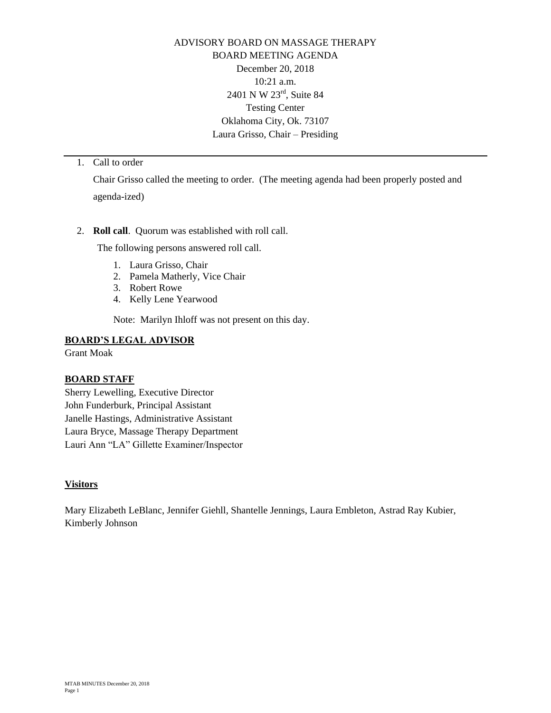ADVISORY BOARD ON MASSAGE THERAPY BOARD MEETING AGENDA December 20, 2018 10:21 a.m. 2401 N W 23rd, Suite 84 Testing Center Oklahoma City, Ok. 73107 Laura Grisso, Chair – Presiding

## 1. Call to order

Chair Grisso called the meeting to order. (The meeting agenda had been properly posted and agenda-ized)

### 2. **Roll call**. Quorum was established with roll call.

The following persons answered roll call.

- 1. Laura Grisso, Chair
- 2. Pamela Matherly, Vice Chair
- 3. Robert Rowe
- 4. Kelly Lene Yearwood

Note: Marilyn Ihloff was not present on this day.

### **BOARD'S LEGAL ADVISOR**

Grant Moak

## **BOARD STAFF**

Sherry Lewelling, Executive Director John Funderburk, Principal Assistant Janelle Hastings, Administrative Assistant Laura Bryce, Massage Therapy Department Lauri Ann "LA" Gillette Examiner/Inspector

### **Visitors**

Mary Elizabeth LeBlanc, Jennifer Giehll, Shantelle Jennings, Laura Embleton, Astrad Ray Kubier, Kimberly Johnson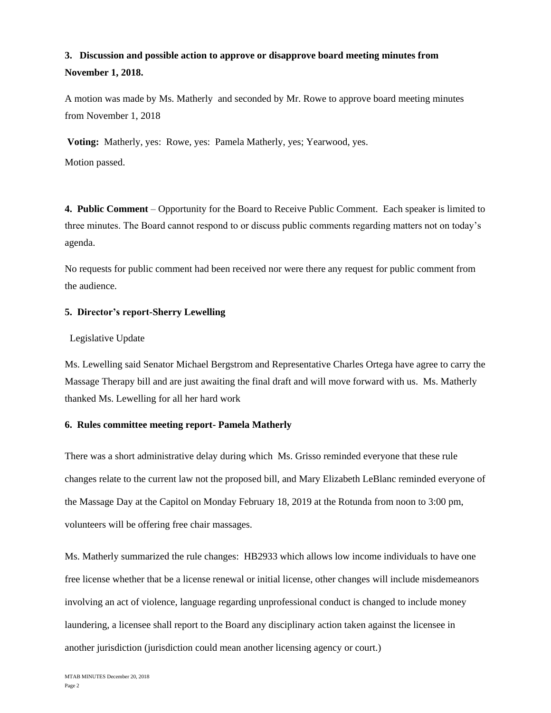# **3. Discussion and possible action to approve or disapprove board meeting minutes from November 1, 2018.**

A motion was made by Ms. Matherly and seconded by Mr. Rowe to approve board meeting minutes from November 1, 2018

**Voting:** Matherly, yes: Rowe, yes: Pamela Matherly, yes; Yearwood, yes. Motion passed.

**4. Public Comment** – Opportunity for the Board to Receive Public Comment. Each speaker is limited to three minutes. The Board cannot respond to or discuss public comments regarding matters not on today's agenda.

No requests for public comment had been received nor were there any request for public comment from the audience.

### **5. Director's report-Sherry Lewelling**

#### Legislative Update

Ms. Lewelling said Senator Michael Bergstrom and Representative Charles Ortega have agree to carry the Massage Therapy bill and are just awaiting the final draft and will move forward with us. Ms. Matherly thanked Ms. Lewelling for all her hard work

### **6. Rules committee meeting report- Pamela Matherly**

There was a short administrative delay during which Ms. Grisso reminded everyone that these rule changes relate to the current law not the proposed bill, and Mary Elizabeth LeBlanc reminded everyone of the Massage Day at the Capitol on Monday February 18, 2019 at the Rotunda from noon to 3:00 pm, volunteers will be offering free chair massages.

Ms. Matherly summarized the rule changes: HB2933 which allows low income individuals to have one free license whether that be a license renewal or initial license, other changes will include misdemeanors involving an act of violence, language regarding unprofessional conduct is changed to include money laundering, a licensee shall report to the Board any disciplinary action taken against the licensee in another jurisdiction (jurisdiction could mean another licensing agency or court.)